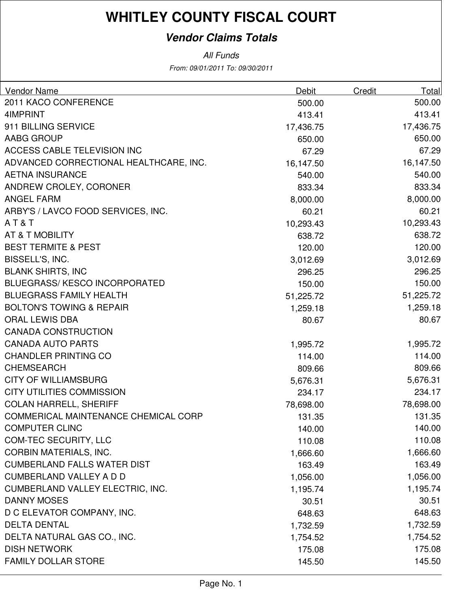### **Vendor Claims Totals**

| Vendor Name                                 | Debit     | Credit | Totall    |
|---------------------------------------------|-----------|--------|-----------|
| 2011 KACO CONFERENCE                        | 500.00    |        | 500.00    |
| 4IMPRINT                                    | 413.41    |        | 413.41    |
| 911 BILLING SERVICE                         | 17,436.75 |        | 17,436.75 |
| <b>AABG GROUP</b>                           | 650.00    |        | 650.00    |
| ACCESS CABLE TELEVISION INC                 | 67.29     |        | 67.29     |
| ADVANCED CORRECTIONAL HEALTHCARE, INC.      | 16,147.50 |        | 16,147.50 |
| <b>AETNA INSURANCE</b>                      | 540.00    |        | 540.00    |
| ANDREW CROLEY, CORONER                      | 833.34    |        | 833.34    |
| ANGEL FARM                                  | 8,000.00  |        | 8,000.00  |
| ARBY'S / LAVCO FOOD SERVICES, INC.          | 60.21     |        | 60.21     |
| AT&T                                        | 10,293.43 |        | 10,293.43 |
| AT & T MOBILITY                             | 638.72    |        | 638.72    |
| <b>BEST TERMITE &amp; PEST</b>              | 120.00    |        | 120.00    |
| BISSELL'S, INC.                             | 3,012.69  |        | 3,012.69  |
| <b>BLANK SHIRTS, INC</b>                    | 296.25    |        | 296.25    |
| <b>BLUEGRASS/KESCO INCORPORATED</b>         | 150.00    |        | 150.00    |
| <b>BLUEGRASS FAMILY HEALTH</b>              | 51,225.72 |        | 51,225.72 |
| <b>BOLTON'S TOWING &amp; REPAIR</b>         | 1,259.18  |        | 1,259.18  |
| <b>ORAL LEWIS DBA</b>                       | 80.67     |        | 80.67     |
| <b>CANADA CONSTRUCTION</b>                  |           |        |           |
| <b>CANADA AUTO PARTS</b>                    | 1,995.72  |        | 1,995.72  |
| <b>CHANDLER PRINTING CO</b>                 | 114.00    |        | 114.00    |
| <b>CHEMSEARCH</b>                           | 809.66    |        | 809.66    |
| <b>CITY OF WILLIAMSBURG</b>                 | 5,676.31  |        | 5,676.31  |
| <b>CITY UTILITIES COMMISSION</b>            | 234.17    |        | 234.17    |
| <b>COLAN HARRELL, SHERIFF</b>               | 78,698.00 |        | 78,698.00 |
| <b>COMMERICAL MAINTENANCE CHEMICAL CORP</b> | 131.35    |        | 131.35    |
| <b>COMPUTER CLINC</b>                       | 140.00    |        | 140.00    |
| <b>COM-TEC SECURITY, LLC</b>                | 110.08    |        | 110.08    |
| <b>CORBIN MATERIALS, INC.</b>               | 1,666.60  |        | 1,666.60  |
| <b>CUMBERLAND FALLS WATER DIST</b>          | 163.49    |        | 163.49    |
| <b>CUMBERLAND VALLEY A D D</b>              | 1,056.00  |        | 1,056.00  |
| <b>CUMBERLAND VALLEY ELECTRIC, INC.</b>     | 1,195.74  |        | 1,195.74  |
| <b>DANNY MOSES</b>                          | 30.51     |        | 30.51     |
| D C ELEVATOR COMPANY, INC.                  | 648.63    |        | 648.63    |
| <b>DELTA DENTAL</b>                         | 1,732.59  |        | 1,732.59  |
| DELTA NATURAL GAS CO., INC.                 | 1,754.52  |        | 1,754.52  |
| <b>DISH NETWORK</b>                         | 175.08    |        | 175.08    |
| <b>FAMILY DOLLAR STORE</b>                  | 145.50    |        | 145.50    |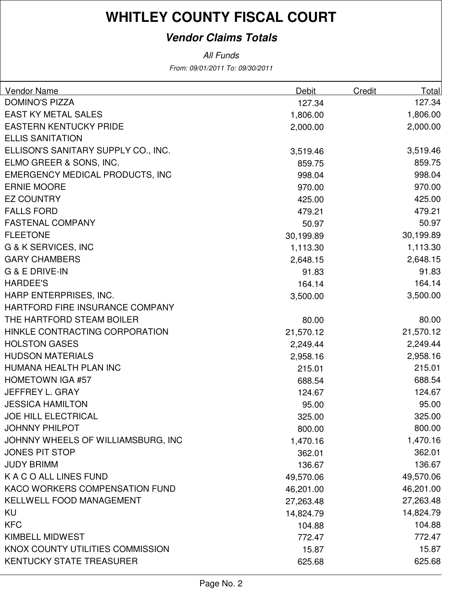### **Vendor Claims Totals**

| <b>Vendor Name</b>                     | Debit     | <b>Credit</b> | <b>Total</b> |
|----------------------------------------|-----------|---------------|--------------|
| <b>DOMINO'S PIZZA</b>                  | 127.34    |               | 127.34       |
| <b>EAST KY METAL SALES</b>             | 1,806.00  |               | 1,806.00     |
| <b>EASTERN KENTUCKY PRIDE</b>          | 2,000.00  |               | 2,000.00     |
| <b>ELLIS SANITATION</b>                |           |               |              |
| ELLISON'S SANITARY SUPPLY CO., INC.    | 3,519.46  |               | 3,519.46     |
| ELMO GREER & SONS, INC.                | 859.75    |               | 859.75       |
| <b>EMERGENCY MEDICAL PRODUCTS, INC</b> | 998.04    |               | 998.04       |
| <b>ERNIE MOORE</b>                     | 970.00    |               | 970.00       |
| <b>EZ COUNTRY</b>                      | 425.00    |               | 425.00       |
| <b>FALLS FORD</b>                      | 479.21    |               | 479.21       |
| <b>FASTENAL COMPANY</b>                | 50.97     |               | 50.97        |
| <b>FLEETONE</b>                        | 30,199.89 |               | 30,199.89    |
| <b>G &amp; K SERVICES, INC</b>         | 1,113.30  |               | 1,113.30     |
| <b>GARY CHAMBERS</b>                   | 2,648.15  |               | 2,648.15     |
| <b>G &amp; E DRIVE-IN</b>              | 91.83     |               | 91.83        |
| <b>HARDEE'S</b>                        | 164.14    |               | 164.14       |
| HARP ENTERPRISES, INC.                 | 3,500.00  |               | 3,500.00     |
| HARTFORD FIRE INSURANCE COMPANY        |           |               |              |
| THE HARTFORD STEAM BOILER              | 80.00     |               | 80.00        |
| HINKLE CONTRACTING CORPORATION         | 21,570.12 |               | 21,570.12    |
| <b>HOLSTON GASES</b>                   | 2,249.44  |               | 2,249.44     |
| <b>HUDSON MATERIALS</b>                | 2,958.16  |               | 2,958.16     |
| HUMANA HEALTH PLAN INC                 | 215.01    |               | 215.01       |
| <b>HOMETOWN IGA #57</b>                | 688.54    |               | 688.54       |
| JEFFREY L. GRAY                        | 124.67    |               | 124.67       |
| <b>JESSICA HAMILTON</b>                | 95.00     |               | 95.00        |
| <b>JOE HILL ELECTRICAL</b>             | 325.00    |               | 325.00       |
| <b>JOHNNY PHILPOT</b>                  | 800.00    |               | 800.00       |
| JOHNNY WHEELS OF WILLIAMSBURG, INC     | 1,470.16  |               | 1,470.16     |
| <b>JONES PIT STOP</b>                  | 362.01    |               | 362.01       |
| <b>JUDY BRIMM</b>                      | 136.67    |               | 136.67       |
| K A C O ALL LINES FUND                 | 49,570.06 |               | 49,570.06    |
| KACO WORKERS COMPENSATION FUND         | 46,201.00 |               | 46,201.00    |
| KELLWELL FOOD MANAGEMENT               | 27,263.48 |               | 27,263.48    |
| KU                                     | 14,824.79 |               | 14,824.79    |
| <b>KFC</b>                             | 104.88    |               | 104.88       |
| <b>KIMBELL MIDWEST</b>                 | 772.47    |               | 772.47       |
| KNOX COUNTY UTILITIES COMMISSION       | 15.87     |               | 15.87        |
| KENTUCKY STATE TREASURER               | 625.68    |               | 625.68       |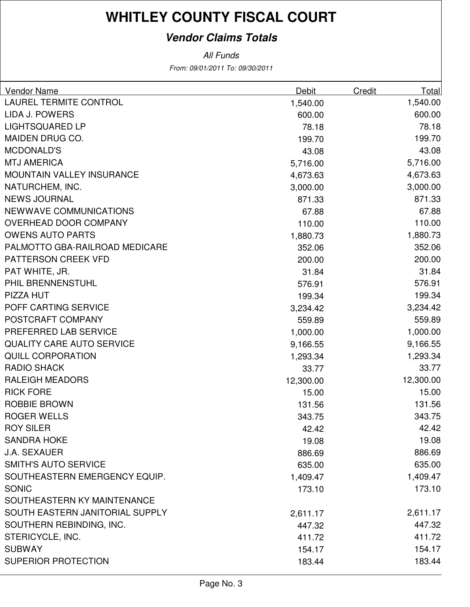### **Vendor Claims Totals**

| <b>Vendor Name</b>               | <b>Debit</b> | Credit | Total     |
|----------------------------------|--------------|--------|-----------|
| <b>LAUREL TERMITE CONTROL</b>    | 1,540.00     |        | 1,540.00  |
| <b>LIDA J. POWERS</b>            | 600.00       |        | 600.00    |
| <b>LIGHTSQUARED LP</b>           | 78.18        |        | 78.18     |
| <b>MAIDEN DRUG CO.</b>           | 199.70       |        | 199.70    |
| <b>MCDONALD'S</b>                | 43.08        |        | 43.08     |
| <b>MTJ AMERICA</b>               | 5,716.00     |        | 5,716.00  |
| <b>MOUNTAIN VALLEY INSURANCE</b> | 4,673.63     |        | 4,673.63  |
| NATURCHEM, INC.                  | 3,000.00     |        | 3,000.00  |
| <b>NEWS JOURNAL</b>              | 871.33       |        | 871.33    |
| NEWWAVE COMMUNICATIONS           | 67.88        |        | 67.88     |
| OVERHEAD DOOR COMPANY            | 110.00       |        | 110.00    |
| <b>OWENS AUTO PARTS</b>          | 1,880.73     |        | 1,880.73  |
| PALMOTTO GBA-RAILROAD MEDICARE   | 352.06       |        | 352.06    |
| PATTERSON CREEK VFD              | 200.00       |        | 200.00    |
| PAT WHITE, JR.                   | 31.84        |        | 31.84     |
| PHIL BRENNENSTUHL                | 576.91       |        | 576.91    |
| PIZZA HUT                        | 199.34       |        | 199.34    |
| POFF CARTING SERVICE             | 3,234.42     |        | 3,234.42  |
| POSTCRAFT COMPANY                | 559.89       |        | 559.89    |
| PREFERRED LAB SERVICE            | 1,000.00     |        | 1,000.00  |
| <b>QUALITY CARE AUTO SERVICE</b> | 9,166.55     |        | 9,166.55  |
| <b>QUILL CORPORATION</b>         | 1,293.34     |        | 1,293.34  |
| <b>RADIO SHACK</b>               | 33.77        |        | 33.77     |
| <b>RALEIGH MEADORS</b>           | 12,300.00    |        | 12,300.00 |
| <b>RICK FORE</b>                 | 15.00        |        | 15.00     |
| <b>ROBBIE BROWN</b>              | 131.56       |        | 131.56    |
| <b>ROGER WELLS</b>               | 343.75       |        | 343.75    |
| <b>ROY SILER</b>                 | 42.42        |        | 42.42     |
| <b>SANDRA HOKE</b>               | 19.08        |        | 19.08     |
| <b>J.A. SEXAUER</b>              | 886.69       |        | 886.69    |
| <b>SMITH'S AUTO SERVICE</b>      | 635.00       |        | 635.00    |
| SOUTHEASTERN EMERGENCY EQUIP.    | 1,409.47     |        | 1,409.47  |
| <b>SONIC</b>                     | 173.10       |        | 173.10    |
| SOUTHEASTERN KY MAINTENANCE      |              |        |           |
| SOUTH EASTERN JANITORIAL SUPPLY  | 2,611.17     |        | 2,611.17  |
| SOUTHERN REBINDING, INC.         | 447.32       |        | 447.32    |
| STERICYCLE, INC.                 | 411.72       |        | 411.72    |
| <b>SUBWAY</b>                    | 154.17       |        | 154.17    |
| <b>SUPERIOR PROTECTION</b>       | 183.44       |        | 183.44    |